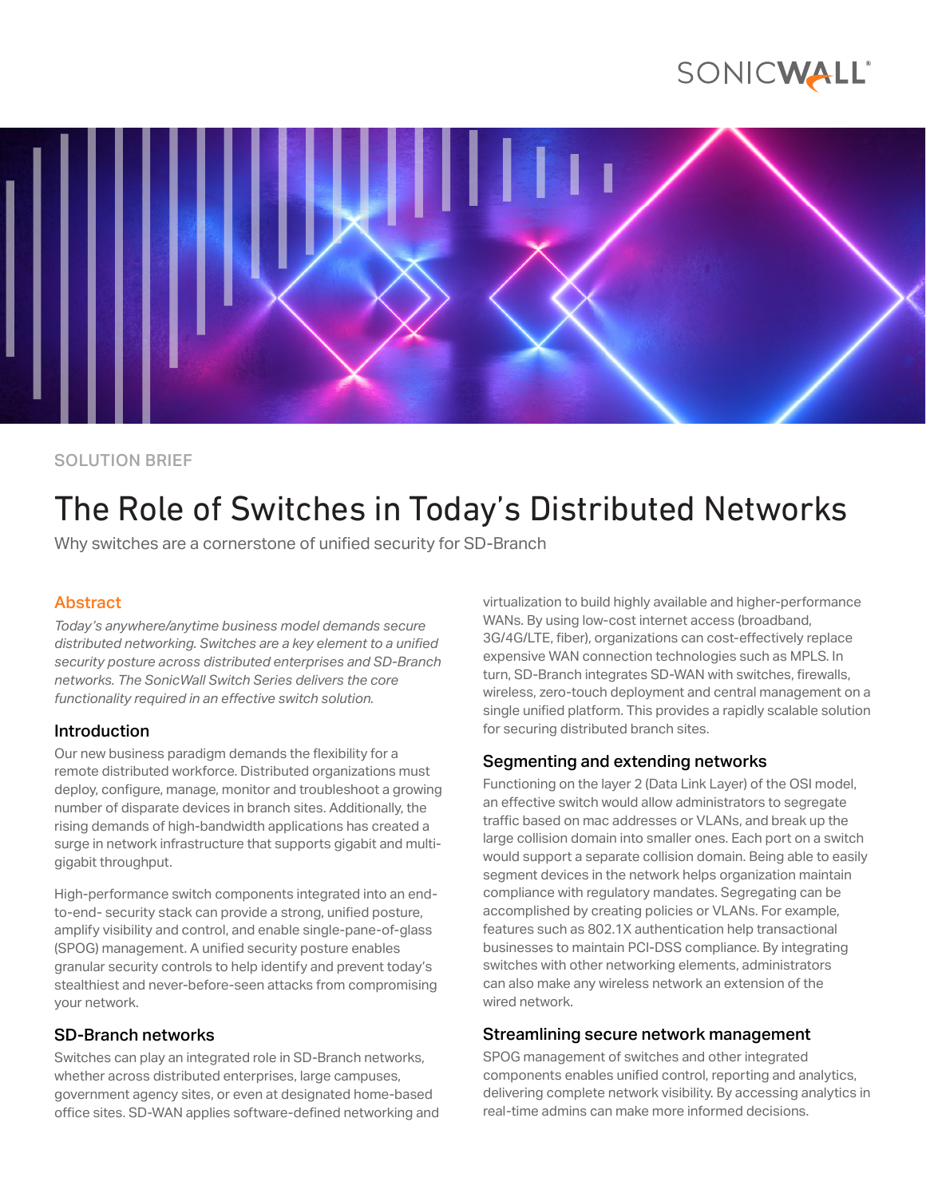## SONICWALL®



SOLUTION BRIEF

# The Role of Switches in Today's Distributed Networks

Why switches are a cornerstone of unified security for SD-Branch

### Abstract

*Today's anywhere/anytime business model demands secure distributed networking. Switches are a key element to a unified security posture across distributed enterprises and SD-Branch networks. The SonicWall Switch Series delivers the core functionality required in an effective switch solution.*

#### Introduction

Our new business paradigm demands the flexibility for a remote distributed workforce. Distributed organizations must deploy, configure, manage, monitor and troubleshoot a growing number of disparate devices in branch sites. Additionally, the rising demands of high-bandwidth applications has created a surge in network infrastructure that supports gigabit and multigigabit throughput.

High-performance switch components integrated into an endto-end- security stack can provide a strong, unified posture, amplify visibility and control, and enable single-pane-of-glass (SPOG) management. A unified security posture enables granular security controls to help identify and prevent today's stealthiest and never-before-seen attacks from compromising your network.

#### SD-Branch networks

Switches can play an integrated role in SD-Branch networks, whether across distributed enterprises, large campuses, government agency sites, or even at designated home-based office sites. SD-WAN applies software-defined networking and virtualization to build highly available and higher-performance WANs. By using low-cost internet access (broadband, 3G/4G/LTE, fiber), organizations can cost-effectively replace expensive WAN connection technologies such as MPLS. In turn, SD-Branch integrates SD-WAN with switches, firewalls, wireless, zero-touch deployment and central management on a single unified platform. This provides a rapidly scalable solution for securing distributed branch sites.

#### Segmenting and extending networks

Functioning on the layer 2 (Data Link Layer) of the OSI model, an effective switch would allow administrators to segregate traffic based on mac addresses or VLANs, and break up the large collision domain into smaller ones. Each port on a switch would support a separate collision domain. Being able to easily segment devices in the network helps organization maintain compliance with regulatory mandates. Segregating can be accomplished by creating policies or VLANs. For example, features such as 802.1X authentication help transactional businesses to maintain PCI-DSS compliance. By integrating switches with other networking elements, administrators can also make any wireless network an extension of the wired network.

#### Streamlining secure network management

SPOG management of switches and other integrated components enables unified control, reporting and analytics, delivering complete network visibility. By accessing analytics in real-time admins can make more informed decisions.